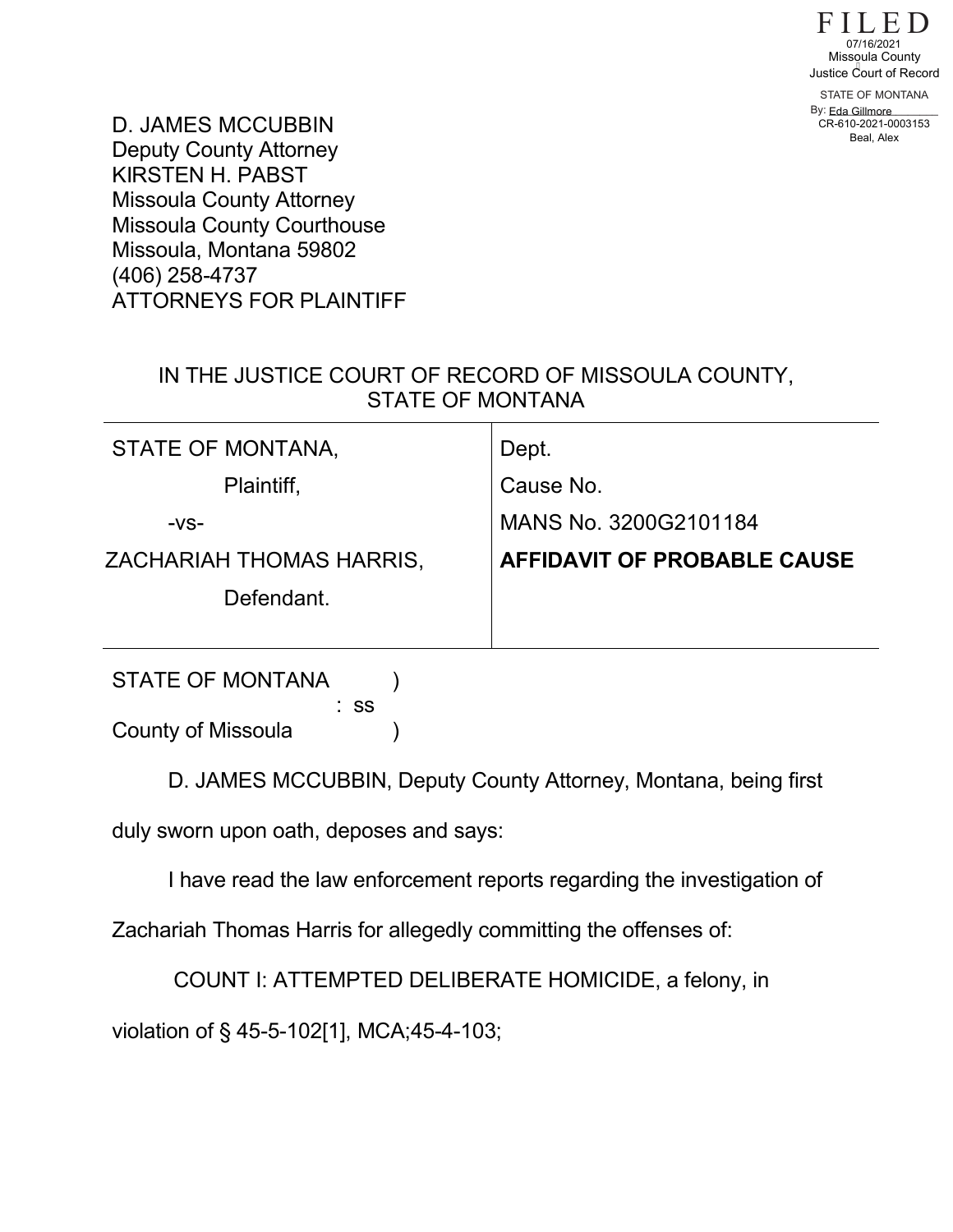

STATE OF MONTANA By: <u>Eda Gillmore</u> 07/16/2021<br>Missqula County<br>ustice Court of Reco<br>STATE OF MONTANA<br>V: Eda Gillmore<br>CR-610-2021-0003153 Beal, Alex

D. JAMES MCCUBBIN Deputy County Attorney KIRSTEN H. PABST Missoula County Attorney Missoula County Courthouse Missoula, Montana 59802 (406) 258-4737 ATTORNEYS FOR PLAINTIFF

## IN THE JUSTICE COURT OF RECORD OF MISSOULA COUNTY, STATE OF MONTANA

| STATE OF MONTANA,        | Dept.                       |
|--------------------------|-----------------------------|
| Plaintiff,               | Cause No.                   |
| $-VS-$                   | MANS No. 3200G2101184       |
| ZACHARIAH THOMAS HARRIS, | AFFIDAVIT OF PROBABLE CAUSE |
| Defendant.               |                             |
|                          |                             |
| <b>STATE OF MONTANA</b>  |                             |

 : ss County of Missoula (1)

D. JAMES MCCUBBIN, Deputy County Attorney, Montana, being first

duly sworn upon oath, deposes and says:

I have read the law enforcement reports regarding the investigation of

Zachariah Thomas Harris for allegedly committing the offenses of:

COUNT I: ATTEMPTED DELIBERATE HOMICIDE, a felony, in

violation of § 45-5-102[1], MCA;45-4-103;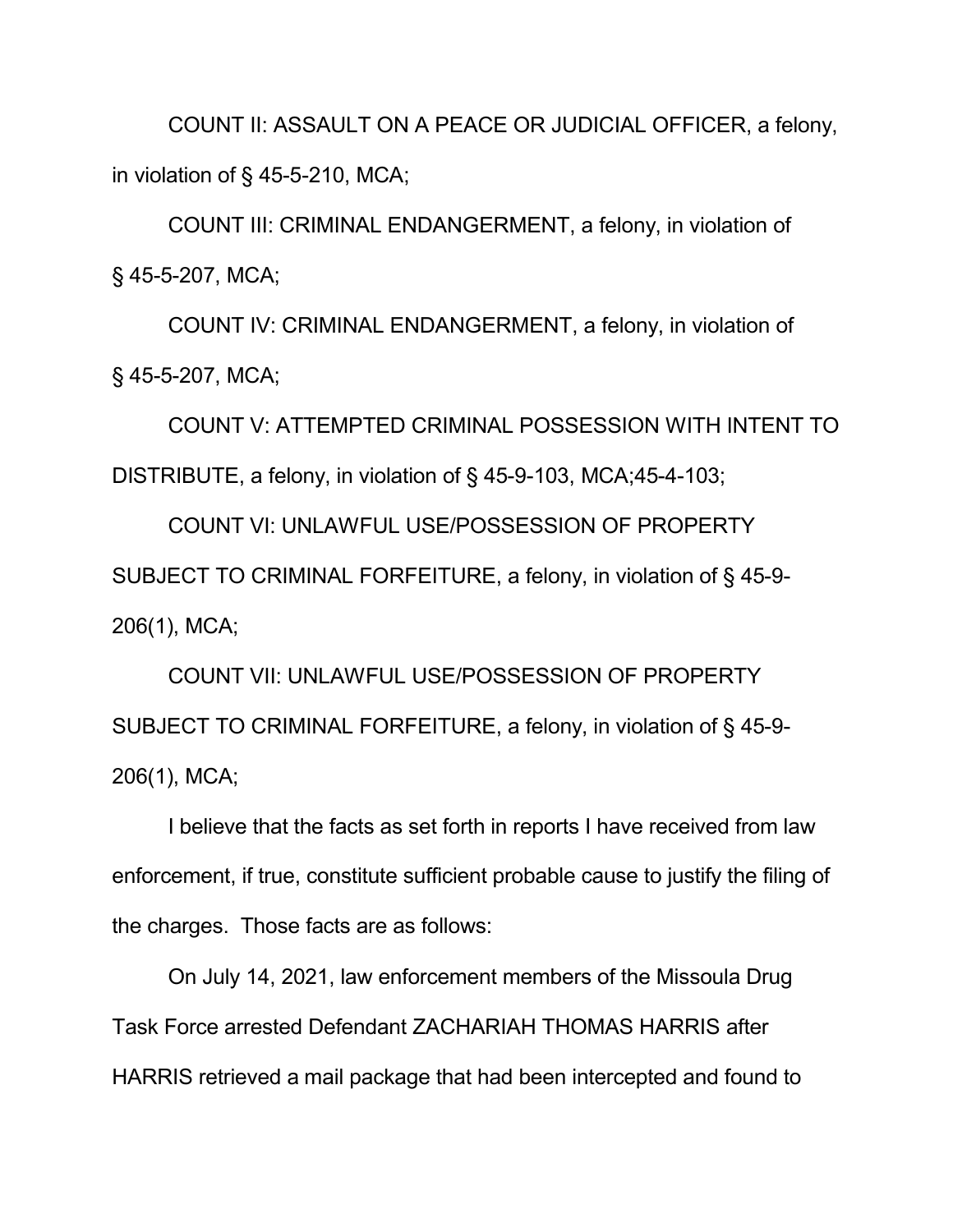COUNT II: ASSAULT ON A PEACE OR JUDICIAL OFFICER, a felony, in violation of § 45-5-210, MCA;

COUNT III: CRIMINAL ENDANGERMENT, a felony, in violation of § 45-5-207, MCA;

COUNT IV: CRIMINAL ENDANGERMENT, a felony, in violation of § 45-5-207, MCA;

COUNT V: ATTEMPTED CRIMINAL POSSESSION WITH INTENT TO DISTRIBUTE, a felony, in violation of § 45-9-103, MCA;45-4-103;

COUNT VI: UNLAWFUL USE/POSSESSION OF PROPERTY SUBJECT TO CRIMINAL FORFEITURE, a felony, in violation of § 45-9- 206(1), MCA;

COUNT VII: UNLAWFUL USE/POSSESSION OF PROPERTY SUBJECT TO CRIMINAL FORFEITURE, a felony, in violation of § 45-9- 206(1), MCA;

I believe that the facts as set forth in reports I have received from law enforcement, if true, constitute sufficient probable cause to justify the filing of the charges. Those facts are as follows:

On July 14, 2021, law enforcement members of the Missoula Drug Task Force arrested Defendant ZACHARIAH THOMAS HARRIS after HARRIS retrieved a mail package that had been intercepted and found to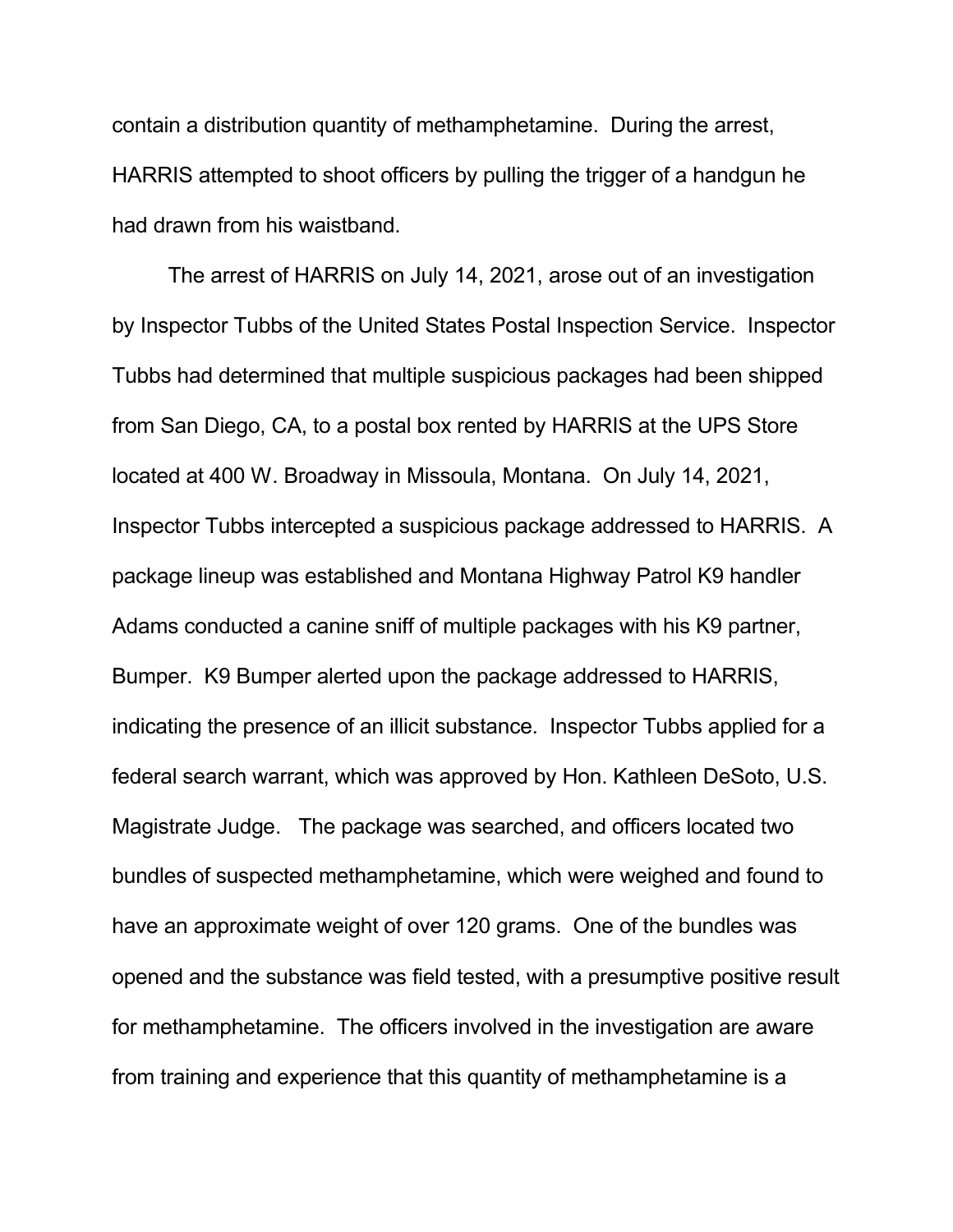contain a distribution quantity of methamphetamine. During the arrest, HARRIS attempted to shoot officers by pulling the trigger of a handgun he had drawn from his waistband.

The arrest of HARRIS on July 14, 2021, arose out of an investigation by Inspector Tubbs of the United States Postal Inspection Service. Inspector Tubbs had determined that multiple suspicious packages had been shipped from San Diego, CA, to a postal box rented by HARRIS at the UPS Store located at 400 W. Broadway in Missoula, Montana. On July 14, 2021, Inspector Tubbs intercepted a suspicious package addressed to HARRIS. A package lineup was established and Montana Highway Patrol K9 handler Adams conducted a canine sniff of multiple packages with his K9 partner, Bumper. K9 Bumper alerted upon the package addressed to HARRIS, indicating the presence of an illicit substance. Inspector Tubbs applied for a federal search warrant, which was approved by Hon. Kathleen DeSoto, U.S. Magistrate Judge. The package was searched, and officers located two bundles of suspected methamphetamine, which were weighed and found to have an approximate weight of over 120 grams. One of the bundles was opened and the substance was field tested, with a presumptive positive result for methamphetamine. The officers involved in the investigation are aware from training and experience that this quantity of methamphetamine is a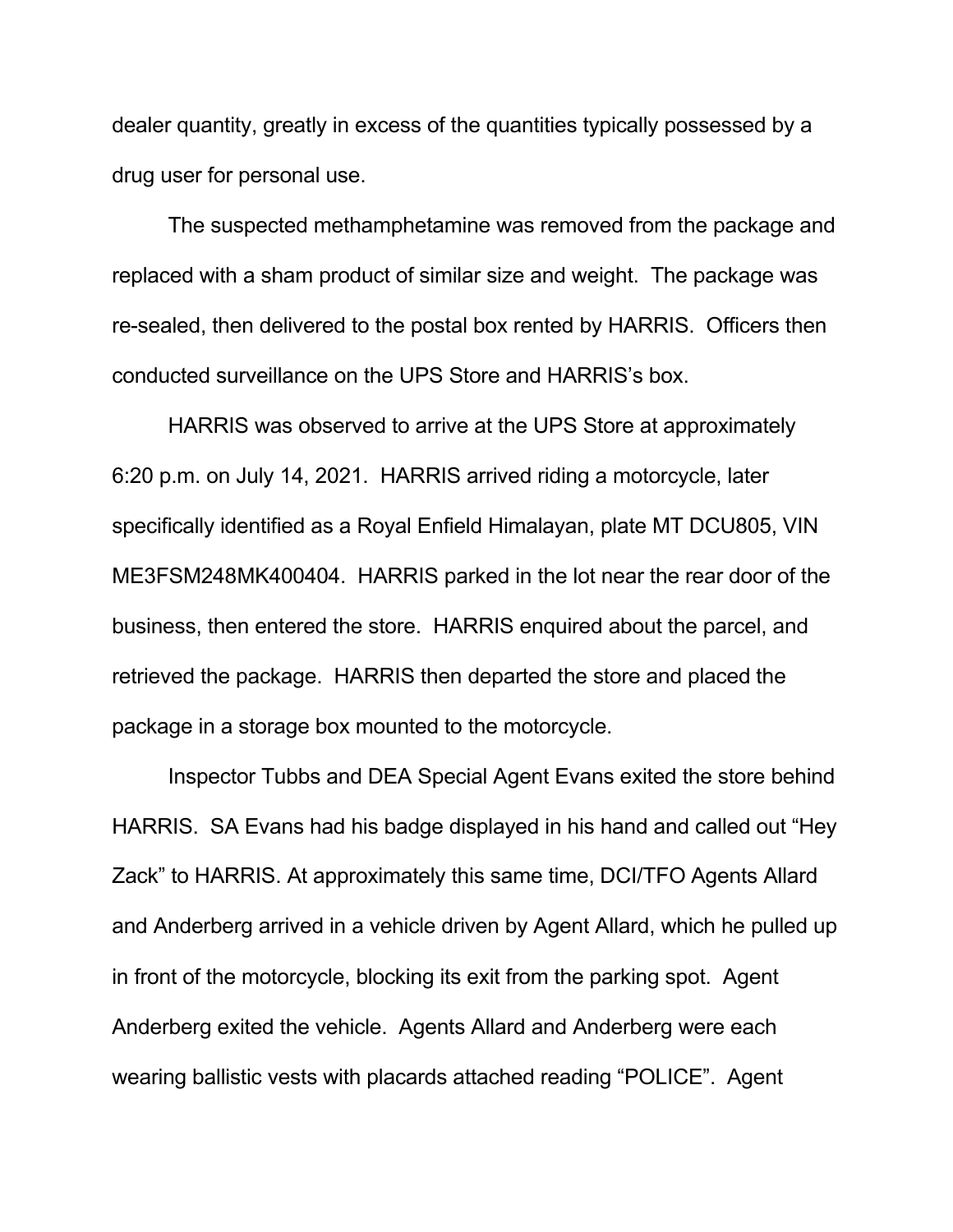dealer quantity, greatly in excess of the quantities typically possessed by a drug user for personal use.

The suspected methamphetamine was removed from the package and replaced with a sham product of similar size and weight. The package was re-sealed, then delivered to the postal box rented by HARRIS. Officers then conducted surveillance on the UPS Store and HARRIS's box.

HARRIS was observed to arrive at the UPS Store at approximately 6:20 p.m. on July 14, 2021. HARRIS arrived riding a motorcycle, later specifically identified as a Royal Enfield Himalayan, plate MT DCU805, VIN ME3FSM248MK400404. HARRIS parked in the lot near the rear door of the business, then entered the store. HARRIS enquired about the parcel, and retrieved the package. HARRIS then departed the store and placed the package in a storage box mounted to the motorcycle.

Inspector Tubbs and DEA Special Agent Evans exited the store behind HARRIS. SA Evans had his badge displayed in his hand and called out "Hey Zack" to HARRIS. At approximately this same time, DCI/TFO Agents Allard and Anderberg arrived in a vehicle driven by Agent Allard, which he pulled up in front of the motorcycle, blocking its exit from the parking spot. Agent Anderberg exited the vehicle. Agents Allard and Anderberg were each wearing ballistic vests with placards attached reading "POLICE". Agent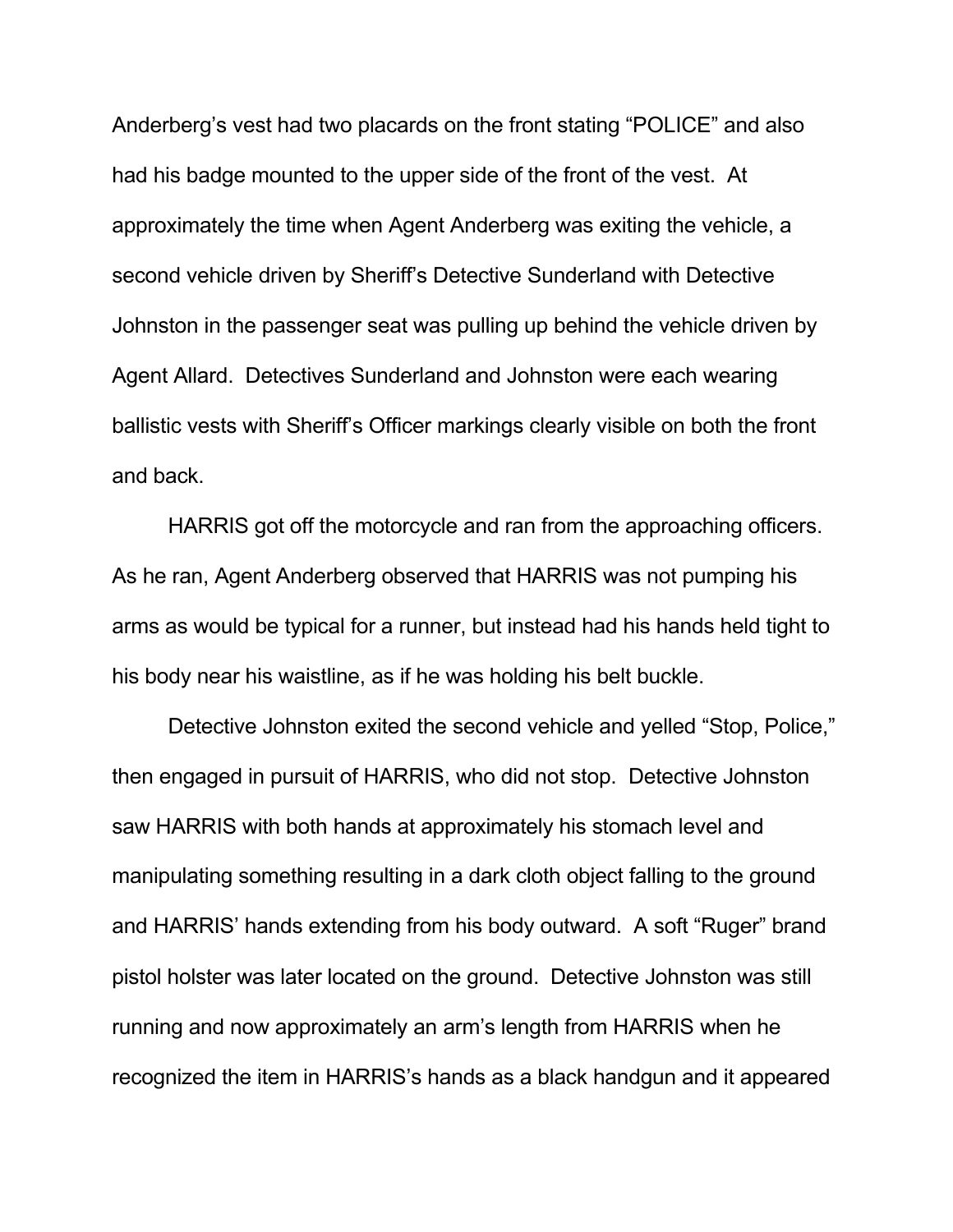Anderberg's vest had two placards on the front stating "POLICE" and also had his badge mounted to the upper side of the front of the vest. At approximately the time when Agent Anderberg was exiting the vehicle, a second vehicle driven by Sheriff's Detective Sunderland with Detective Johnston in the passenger seat was pulling up behind the vehicle driven by Agent Allard. Detectives Sunderland and Johnston were each wearing ballistic vests with Sheriff's Officer markings clearly visible on both the front and back.

HARRIS got off the motorcycle and ran from the approaching officers. As he ran, Agent Anderberg observed that HARRIS was not pumping his arms as would be typical for a runner, but instead had his hands held tight to his body near his waistline, as if he was holding his belt buckle.

Detective Johnston exited the second vehicle and yelled "Stop, Police," then engaged in pursuit of HARRIS, who did not stop. Detective Johnston saw HARRIS with both hands at approximately his stomach level and manipulating something resulting in a dark cloth object falling to the ground and HARRIS' hands extending from his body outward. A soft "Ruger" brand pistol holster was later located on the ground. Detective Johnston was still running and now approximately an arm's length from HARRIS when he recognized the item in HARRIS's hands as a black handgun and it appeared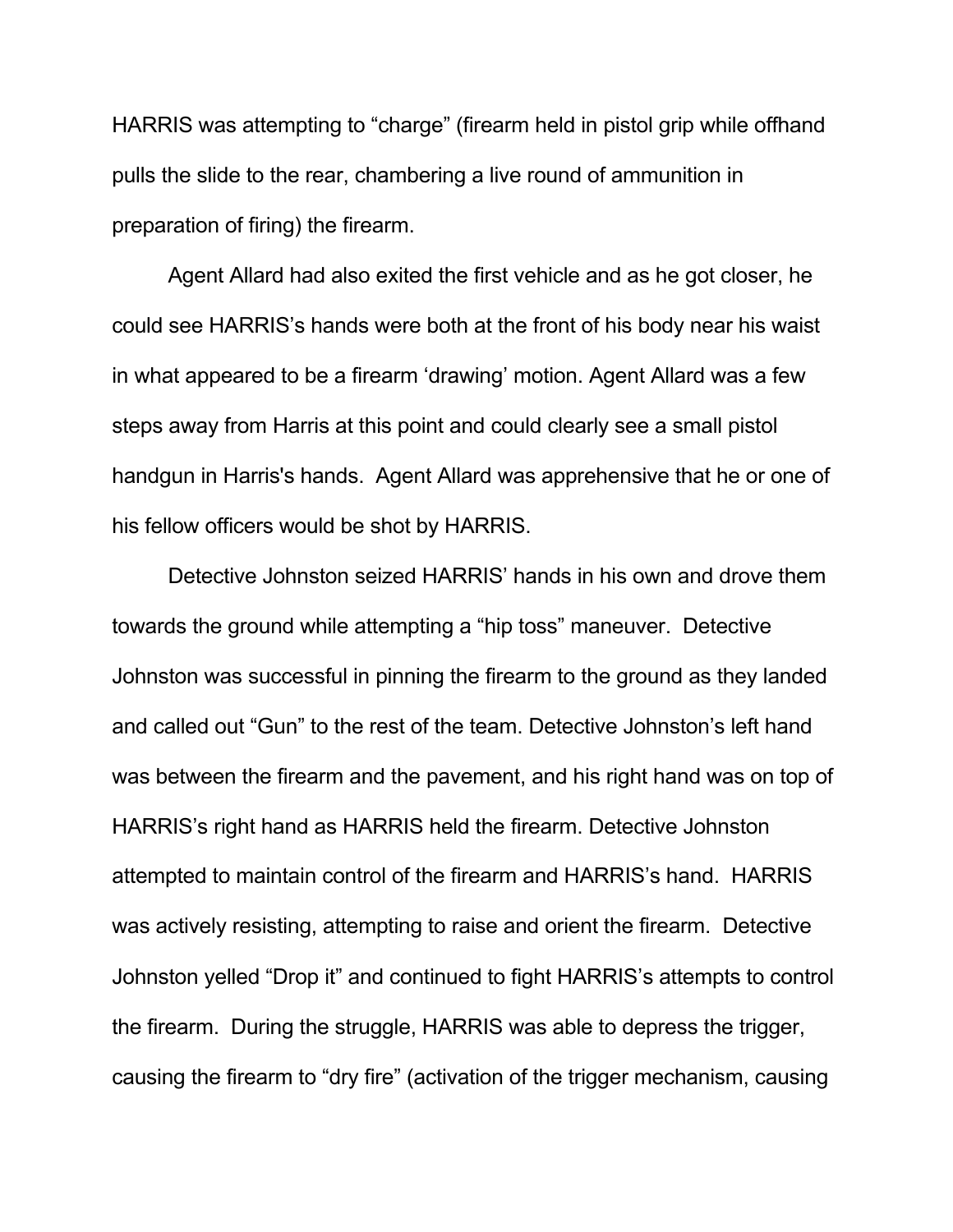HARRIS was attempting to "charge" (firearm held in pistol grip while offhand pulls the slide to the rear, chambering a live round of ammunition in preparation of firing) the firearm.

Agent Allard had also exited the first vehicle and as he got closer, he could see HARRIS's hands were both at the front of his body near his waist in what appeared to be a firearm 'drawing' motion. Agent Allard was a few steps away from Harris at this point and could clearly see a small pistol handgun in Harris's hands. Agent Allard was apprehensive that he or one of his fellow officers would be shot by HARRIS.

Detective Johnston seized HARRIS' hands in his own and drove them towards the ground while attempting a "hip toss" maneuver. Detective Johnston was successful in pinning the firearm to the ground as they landed and called out "Gun" to the rest of the team. Detective Johnston's left hand was between the firearm and the pavement, and his right hand was on top of HARRIS's right hand as HARRIS held the firearm. Detective Johnston attempted to maintain control of the firearm and HARRIS's hand. HARRIS was actively resisting, attempting to raise and orient the firearm. Detective Johnston yelled "Drop it" and continued to fight HARRIS's attempts to control the firearm. During the struggle, HARRIS was able to depress the trigger, causing the firearm to "dry fire" (activation of the trigger mechanism, causing